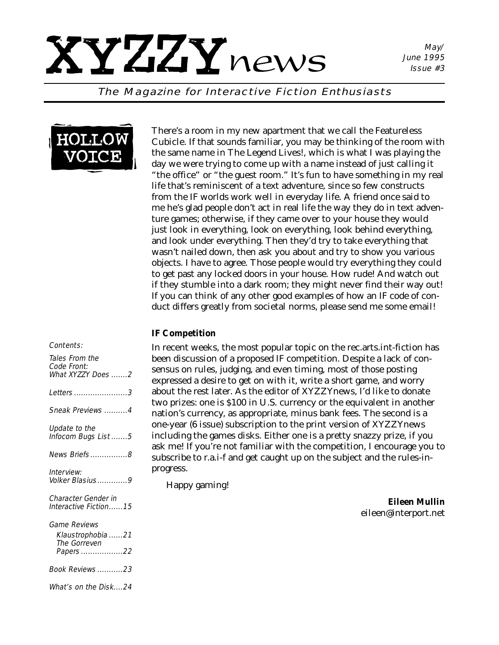# XYZZYnews

May/ June 1995 Issue #3

The Magazine for Interactive Fiction Enthusiasts



#### Contents:

| Tales From the<br><b>Code Front:</b><br>What XYZZY Does 2            |
|----------------------------------------------------------------------|
| <i>Letters 3</i>                                                     |
| Sneak Previews 4                                                     |
| Update to the<br>Infocom Bugs List 5                                 |
| News Briefs8                                                         |
| Interview:<br>Volker Blasius9                                        |
| Character Gender in<br>Interactive Fiction15                         |
| <i>Game Reviews</i><br>Klaustrophobia 21<br>The Gorreven<br>Papers22 |
| Book Reviews23                                                       |
| What's on the Disk24                                                 |

There's a room in my new apartment that we call the Featureless Cubicle. If that sounds familiar, you may be thinking of the room with the same name in The Legend Lives!, which is what I was playing the day we were trying to come up with a name instead of just calling it "the office" or "the guest room." It's fun to have something in my real life that's reminiscent of a text adventure, since so few constructs from the IF worlds work well in everyday life. A friend once said to me he's glad people don't act in real life the way they do in text adventure games; otherwise, if they came over to your house they would just look in everything, look on everything, look behind everything, and look under everything. Then they'd try to take everything that wasn't nailed down, then ask you about and try to show you various objects. I have to agree. Those people would try everything they could to get past any locked doors in your house. How rude! And watch out if they stumble into a dark room; they might never find their way out! If you can think of any other good examples of how an IF code of conduct differs greatly from societal norms, please send me some email!

#### *IF Competition*

In recent weeks, the most popular topic on the rec.arts.int-fiction has been discussion of a proposed IF competition. Despite a lack of consensus on rules, judging, and even timing, most of those posting expressed a desire to get on with it, write a short game, and worry about the rest later. As the editor of *XYZZYnews,* I'd like to donate two prizes: one is \$100 in U.S. currency or the equivalent in another nation's currency, as appropriate, minus bank fees. The second is a one-year (6 issue) subscription to the print version of *XYZZYnews* including the games disks. Either one is a pretty snazzy prize, if you ask me! If you're not familiar with the competition, I encourage you to subscribe to r.a.i-f and get caught up on the subject and the rules-inprogress.

Happy gaming!

*Eileen Mullin eileen@interport.net*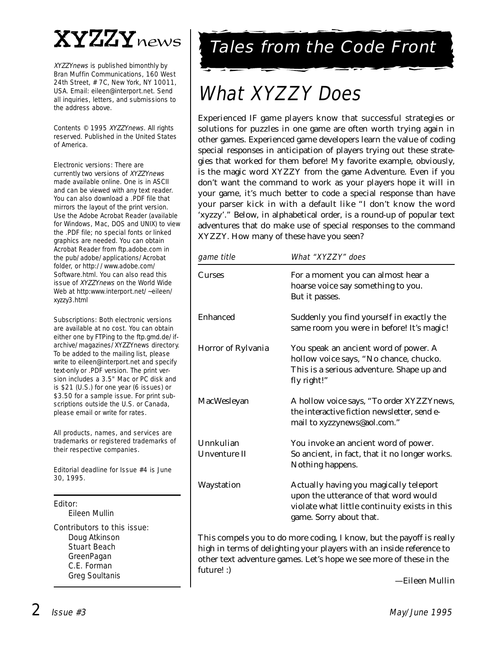

XYZZYnews is published bimonthly by Bran Muffin Communications, 160 West 24th Street, # 7C, New York, NY 10011, USA. Email: eileen@interport.net. Send all inquiries, letters, and submissions to the address above.

Contents © 1995 XYZZYnews. All rights reserved. Published in the United States of America.

Electronic versions: There are currently two versions of XYZZYnews made available online. One is in ASCII and can be viewed with any text reader. You can also download a .PDF file that mirrors the layout of the print version. Use the Adobe Acrobat Reader (available for Windows, Mac, DOS and UNIX) to view the .PDF file; no special fonts or linked graphics are needed. You can obtain Acrobat Reader from ftp.adobe.com in the pub/adobe/applications/Acrobat folder, or http://www.adobe.com/ Software.html. You can also read this issue of XYZZYnews on the World Wide Web at http:www.interport.net/~eileen/ xyzzy3.html

Subscriptions: Both electronic versions are available at no cost. You can obtain either one by FTPing to the ftp.gmd.de/ifarchive/magazines/XYZZYnews directory. To be added to the mailing list, please write to eileen@interport.net and specify text-only or .PDF version. The print version includes a 3.5" Mac or PC disk and is \$21 (U.S.) for one year (6 issues) or \$3.50 for a sample issue. For print subscriptions outside the U.S. or Canada, please email or write for rates.

All products, names, and ser vices are trademarks or registered trademarks of their respective companies.

Editorial deadline for Issue #4 is June 30, 1995.

#### Editor:

Eileen Mullin

Contributors to this issue: Doug Atkinson Stuart Beach GreenPagan C.E. Forman

Greg Soultanis

# Tales from the Code Front

# What XYZZY Does

Experienced IF game players know that successful strategies or solutions for puzzles in one game are often worth trying again in other games. Experienced game developers learn the value of coding special responses in anticipation of players trying out these strategies that worked for them before! My favorite example, obviously, is the magic word XYZZY from the game Adventure. Even if you don't want the command to work as your players *hope* it will in your game, it's much better to code a special response than have your parser kick in with a default like "I don't know the word 'xyzzy'." Below, in alphabetical order, is a round-up of popular text adventures that *do* make use of special responses to the command XYZZY. How many of these have you seen?

| game title                | What "XYZZY" does                                                                                                                                           |  |  |
|---------------------------|-------------------------------------------------------------------------------------------------------------------------------------------------------------|--|--|
| <b>Curses</b>             | For a moment you can almost hear a<br>hoarse voice say something to you.<br>But it passes.                                                                  |  |  |
| Enhanced                  | Suddenly you find yourself in exactly the<br>same room you were in before! It's magic!                                                                      |  |  |
| Horror of Rylvania        | You speak an ancient word of power. A<br>hollow voice says, "No chance, chucko.<br>This is a serious adventure. Shape up and<br>fly right!"                 |  |  |
| MacWesleyan               | A hollow voice says, "To order XYZZYnews,<br>the interactive fiction newsletter, send e-<br>mail to xyzzynews@aol.com."                                     |  |  |
| Unnkulian<br>Unventure II | You invoke an ancient word of power.<br>So ancient, in fact, that it no longer works.<br>Nothing happens.                                                   |  |  |
| Waystation                | Actually having you magically teleport<br>upon the utterance of that word would<br>violate what little continuity exists in this<br>game. Sorry about that. |  |  |

This compels you to do more coding, I know, but the payoff is really high in terms of delighting your players with an inside reference to other text adventure games. Let's hope we see more of these in the future! :)

*—Eileen Mullin*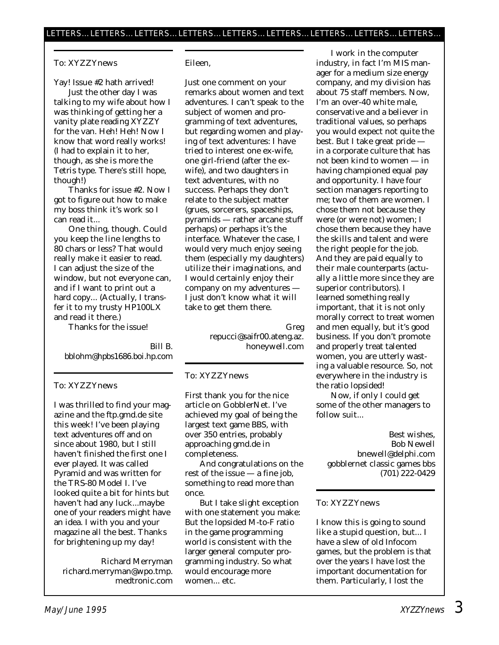#### To: XYZZYnews

Yay! Issue #2 hath arrived!

Just the other day I was talking to my wife about how I was thinking of getting her a vanity plate reading XYZZY for the van. Heh! Heh! Now I know that word really works! (I had to explain it to her, though, as she is more the Tetris type. There's still hope, though!)

Thanks for issue #2. Now I got to figure out how to make my boss think it's work so I can read it...

One thing, though. Could you keep the line lengths to 80 chars or less? That would really make it easier to read. I can adjust the size of the window, but not everyone can, and if I want to print out a hard copy... (Actually, I transfer it to my trusty HP100LX and read it there.)

Thanks for the issue!

Bill B. bblohm@hpbs1686.boi.hp.com

#### To: XYZZYnews

I was thrilled to find your magazine and the ftp.gmd.de site this week! I've been playing text adventures off and on since about 1980, but I still haven't finished the first one I ever played. It was called Pyramid and was written for the TRS-80 Model I. I've looked quite a bit for hints but haven't had any luck...maybe one of your readers might have an idea. I with you and your magazine all the best. Thanks for brightening up my day!

Richard Merryman richard.merryman@wpo.tmp. medtronic.com

#### Eileen,

Just one comment on your remarks about women and text adventures. I can't speak to the subject of women and *programming* of text adventures, but regarding women and playing of text adventures: I have tried to interest one ex-wife, one girl-friend (after the exwife), and two daughters in text adventures, with no success. Perhaps they don't relate to the subject matter (grues, sorcerers, spaceships, pyramids — rather arcane stuff perhaps) or perhaps it's the interface. Whatever the case, I would very much enjoy seeing them (especially my daughters) utilize their imaginations, and I would certainly enjoy their company on *my* adventures — I just don't know what it will take to get them there.

> Greg repucci@saifr00.ateng.az. honeywell.com

#### To: XYZZYnews

First thank you for the nice article on GobblerNet. I've achieved my goal of being the largest text game BBS, with over 350 entries, probably approaching gmd.de in completeness.

And congratulations on the rest of the issue — a fine job, something to read more than once.

But I take slight exception with one statement you make: But the lopsided M-to-F ratio in the game programming world is consistent with the larger general computer programming industry. So what would encourage more women... etc.

I work in the computer industry, in fact I'm MIS manager for a medium size energy company, and my division has about 75 staff members. Now, I'm an over-40 white male, conservative and a believer in traditional values, so perhaps you would expect not quite the best. But I take great pride in a corporate culture that has not been kind to women — in having championed equal pay and opportunity. I have four section managers reporting to me; two of them are women. I chose them not because they were (or were not) women; I chose them because they have the skills and talent and were the right people for the job. And they are paid equally to their male counterparts (actually a little more since they are superior contributors). I learned something really important, that it is not only morally correct to treat women and men equally, but it's good business. If you don't promote and properly treat talented women, you are utterly wasting a valuable resource. So, not everywhere in the industry is the ratio lopsided!

Now, if only I could get some of the other managers to follow suit...

Best wishes, Bob Newell bnewell@delphi.com gobblernet classic games bbs (701) 222-0429

#### To: XYZZYnews

I know this is going to sound like a stupid question, but... I have a slew of old Infocom games, but the problem is that over the years I have lost the important documentation for them. Particularly, I lost the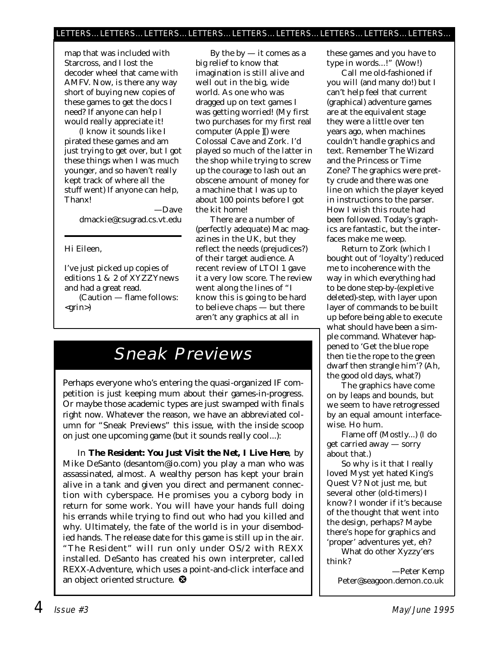map that was included with Starcross, and I lost the decoder wheel that came with AMFV. Now, is there any way short of buying new copies of these games to get the docs I need? If anyone can help I would *really* appreciate it!

(I know it sounds like I pirated these games and am just trying to get over, but I got these things when I was much younger, and so haven't really kept track of where all the stuff went) If anyone can help, Thanx!

> —Dave dmackie@csugrad.cs.vt.edu

Hi Eileen,

I've just picked up copies of editions 1 & 2 of XYZZYnews and had a great read.

(Caution — flame follows: <grin>)

By the  $by - it$  comes as a big relief to know that imagination is still alive and well out in the big, wide world. As one who was dragged up on text games I was getting worried! (My first two purchases for my first real computer (Apple ][) were Colossal Cave and Zork. I'd played so much of the latter in the shop while trying to screw up the courage to lash out an *obscene* amount of money for a machine that I was up to about 100 points before I got the kit home!

There are a number of (perfectly adequate) Mac magazines in the UK, but they reflect the needs (prejudices?) of their target audience. A recent review of LTOI 1 gave it a very low score. The review went along the lines of "I know this is going to be hard to believe chaps — but there aren't any graphics at all in

# Sneak Previews

Perhaps everyone who's entering the quasi-organized IF competition is just keeping mum about their games-in-progress. Or maybe those academic types are just swamped with finals right now. Whatever the reason, we have an abbreviated column for "Sneak Previews" this issue, with the inside scoop on just one upcoming game (but it sounds really cool...):

In **The Resident: You Just Visit the Net, I Live Here**, by Mike DeSanto (desantom@io.com) you play a man who was assassinated, almost. A wealthy person has kept your brain alive in a tank and given you direct and permanent connection with cyberspace. He promises you a cyborg body in return for some work. You will have your hands full doing his errands while trying to find out who had you killed and why. Ultimately, the fate of the world is in your disembodied hands. The release date for this game is still up in the air. "The Resident" will run only under OS/2 with REXX installed. DeSanto has created his own interpreter, called REXX-Adventure, which uses a point-and-click interface and an object oriented structure. <sup>3</sup>

these games and you have to type in words...!" (Wow!)

Call me old-fashioned if you will (and many do!) but I can't help feel that current (graphical) adventure games are at the equivalent stage they were a little over ten years ago, when machines couldn't handle graphics and text. Remember The Wizard and the Princess or Time Zone? The graphics were pretty crude and there was one line on which the player keyed in instructions to the parser. How I wish this route had been followed. Today's graphics are fantastic, but the interfaces make me weep.

Return to Zork (which I bought out of 'loyalty') reduced me to incoherence with the way in which everything had to be done step-by-(expletive deleted)-step, with layer upon layer of commands to be built up before being able to execute what should have been a simple command. Whatever happened to 'Get the blue rope then tie the rope to the green dwarf then strangle him'? (Ah, the good old days, what?)

The graphics have come on by leaps and bounds, but we seem to have retrogressed by an equal amount interfacewise. Ho hum.

Flame off (Mostly...) (I *do* get carried away — sorry about that.)

So why is it that I really *loved* Myst yet hated King's Quest V? Not just me, but several other (old-timers) I know? I wonder if it's because of the thought that went into the design, perhaps? Maybe there's hope for graphics and 'proper' adventures yet, eh?

What do other Xyzzy'ers think?

—Peter Kemp Peter@seagoon.demon.co.uk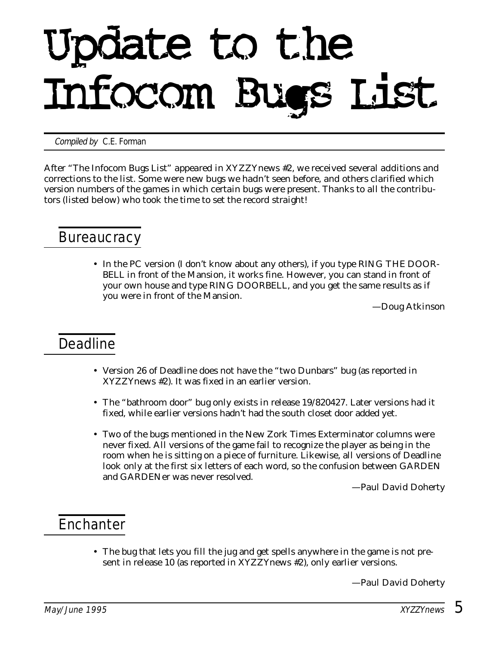# Update to the Infocom Bugs List

Compiled by **C.E. Forman** 

*After "The Infocom Bugs List" appeared in* XYZZYnews *#2, we received several additions and corrections to the list. Some were new bugs we hadn't seen before, and others clarified which version numbers of the games in which certain bugs were present. Thanks to all the contributors (listed below) who took the time to set the record straight!*

#### **Bureaucracy**

• In the PC version (I don't know about any others), if you type RING THE DOOR-BELL in front of the Mansion, it works fine. However, you can stand in front of your own house and type RING DOORBELL, and you get the same results as if you were in front of the Mansion.

*—Doug Atkinson*

#### Deadline

- Version 26 of Deadline does not have the "two Dunbars" bug (as reported in *XYZZYnews* #2). It was fixed in an earlier version.
- The "bathroom door" bug only exists in release 19/820427. Later versions had it fixed, while earlier versions hadn't had the south closet door added yet.
- Two of the bugs mentioned in the *New Zork Times* Exterminator columns were never fixed. All versions of the game fail to recognize the player as being in the room when he is sitting on a piece of furniture. Likewise, all versions of Deadline look only at the first six letters of each word, so the confusion between GARDEN and GARDENer was never resolved.

*—Paul David Doherty*

### **Enchanter**

• The bug that lets you fill the jug and get spells anywhere in the game is not present in release 10 (as reported in *XYZZYnews* #2), only earlier versions.

*—Paul David Doherty*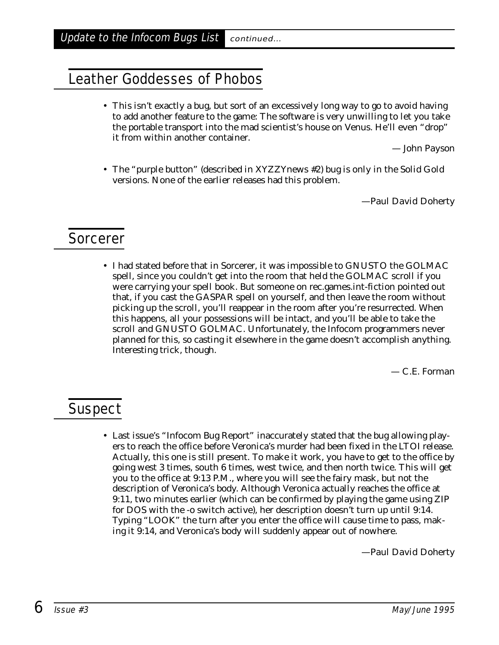#### Leather Goddesses of Phobos

• This isn't exactly a bug, but sort of an excessively long way to go to avoid having to add another feature to the game: The software is very unwilling to let you take the portable transport into the mad scientist's house on Venus. He'll even "drop" it from within another container.

*— John Payson*

• The "purple button" (described in *XYZZYnews* #2) bug is *only* in the Solid Gold versions. None of the earlier releases had this problem.

*—Paul David Doherty*

#### Sorcerer

• I had stated before that in Sorcerer, it was impossible to GNUSTO the GOLMAC spell, since you couldn't get into the room that held the GOLMAC scroll if you were carrying your spell book. But someone on rec.games.int-fiction pointed out that, if you cast the GASPAR spell on yourself, and then leave the room without picking up the scroll, you'll reappear in the room after you're resurrected. When this happens, all your possessions will be intact, and you'll be able to take the scroll and GNUSTO GOLMAC. Unfortunately, the Infocom programmers never planned for this, so casting it elsewhere in the game doesn't accomplish anything. Interesting trick, though.

*— C.E. Forman*

#### **Suspect**

• Last issue's "Infocom Bug Report" inaccurately stated that the bug allowing players to reach the office before Veronica's murder had been fixed in the LTOI release. Actually, this one is still present. To make it work, you have to get to the office by going west 3 times, south 6 times, west twice, and then north twice. This will get you to the office at 9:13 P.M., where you will see the fairy mask, but not the description of Veronica's body. Although Veronica actually reaches the office at 9:11, two minutes earlier (which can be confirmed by playing the game using ZIP for DOS with the -o switch active), her description doesn't turn up until 9:14. Typing "LOOK" the turn after you enter the office will cause time to pass, making it 9:14, and Veronica's body will suddenly appear out of nowhere.

*—Paul David Doherty*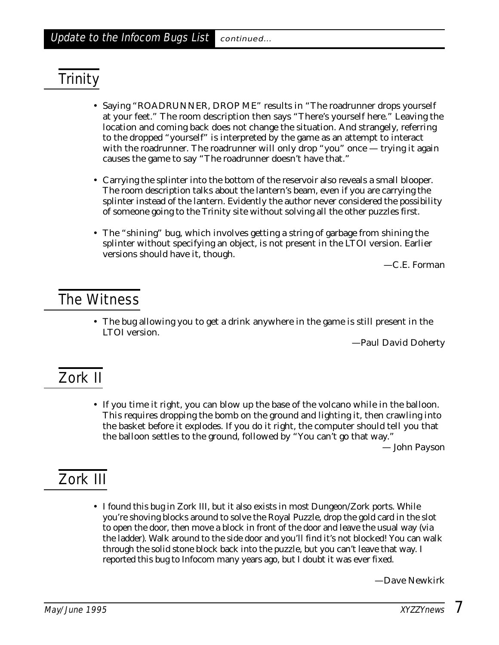# **Trinity**

- Saying "ROADRUNNER, DROP ME" results in "The roadrunner drops yourself at your feet." The room description then says "There's yourself here." Leaving the location and coming back does not change the situation. And strangely, referring to the dropped "yourself" is interpreted by the game as an attempt to interact with the roadrunner. The roadrunner will only drop "you" once — trying it again causes the game to say "The roadrunner doesn't have that."
- Carrying the splinter into the bottom of the reservoir also reveals a small blooper. The room description talks about the lantern's beam, even if you are carrying the splinter instead of the lantern. Evidently the author never considered the possibility of someone going to the Trinity site without solving all the other puzzles first.
- The "shining" bug, which involves getting a string of garbage from shining the splinter without specifying an object, is not present in the LTOI version. Earlier versions should have it, though.

*—C.E. Forman*

#### The Witness

• The bug allowing you to get a drink anywhere in the game is still present in the LTOI version.

*—Paul David Doherty*

## Zork II

• If you time it right, you can blow up the base of the volcano while in the balloon. This requires dropping the bomb on the ground and lighting it, then crawling into the basket before it explodes. If you do it right, the computer should tell you that the balloon settles to the ground, followed by "You can't go that way."

*— John Payson*

# Zork III

• I found this bug in Zork III, but it also exists in most Dungeon/Zork ports. While you're shoving blocks around to solve the Royal Puzzle, drop the gold card in the slot to open the door, then move a block in front of the door and leave the usual way (via the ladder). Walk around to the side door and you'll find it's not blocked! You can walk through the solid stone block back into the puzzle, but you can't leave that way. I reported this bug to Infocom many years ago, but I doubt it was ever fixed.

*—Dave Newkirk*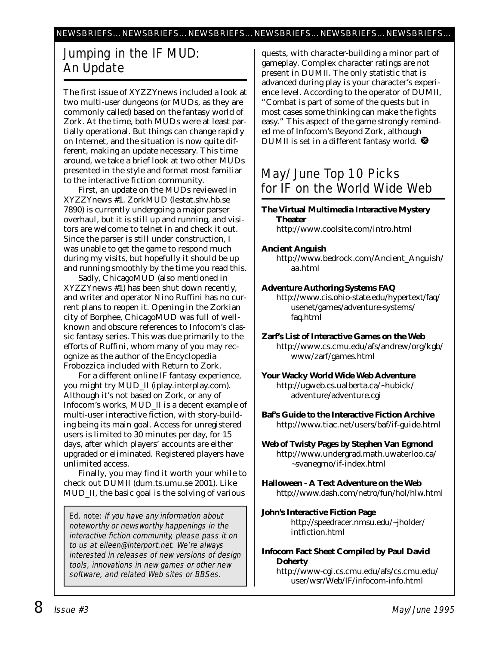#### Jumping in the IF MUD: An Update

The first issue of *XYZZYnews* included a look at two multi-user dungeons (or MUDs, as they are commonly called) based on the fantasy world of Zork. At the time, both MUDs were at least partially operational. But things can change rapidly on Internet, and the situation is now quite different, making an update necessary. This time around, we take a brief look at two other MUDs presented in the style and format most familiar to the interactive fiction community.

First, an update on the MUDs reviewed in *XYZZYnews* #1. ZorkMUD (lestat.shv.hb.se 7890) is currently undergoing a major parser overhaul, but it is still up and running, and visitors are welcome to telnet in and check it out. Since the parser is still under construction, I was unable to get the game to respond much during my visits, but hopefully it should be up and running smoothly by the time you read this.

Sadly, ChicagoMUD (also mentioned in *XYZZYnews* #1) has been shut down recently, and writer and operator Nino Ruffini has no current plans to reopen it. Opening in the Zorkian city of Borphee, ChicagoMUD was full of wellknown and obscure references to Infocom's classic fantasy series. This was due primarily to the efforts of Ruffini, whom many of you may recognize as the author of the *Encyclopedia Frobozzica* included with Return to Zork.

For a different online IF fantasy experience, you might try MUD\_II (iplay.interplay.com). Although it's not based on Zork, or any of Infocom's works, MUD\_II is a decent example of multi-user interactive fiction, with story-building being its main goal. Access for unregistered users is limited to 30 minutes per day, for 15 days, after which players' accounts are either upgraded or eliminated. Registered players have unlimited access.

Finally, you may find it worth your while to check out DUMII (dum.ts.umu.se 2001). Like MUD\_II, the basic goal is the solving of various

Ed. note: If you have any information about noteworthy or newsworthy happenings in the interactive fiction community, please pass it on to us at eileen@interport.net. We're always interested in releases of new versions of design tools, innovations in new games or other new software, and related Web sites or BBSes.

quests, with character-building a minor part of gameplay. Complex character ratings are not present in DUMII. The only statistic that is advanced during play is your character's experience level. According to the operator of DUMII, "Combat is part of some of the quests but in most cases some thinking can make the fights easy." This aspect of the game strongly reminded me of Infocom's Beyond Zork, although DUMII is set in a different fantasy world.  $\bullet$ 

#### May/June Top 10 Picks for IF on the World Wide Web

#### **The Virtual Multimedia Interactive Mystery Theater** http://www.coolsite.com/intro.html

#### **Ancient Anguish**

http://www.bedrock.com/Ancient\_Anguish/ aa.html

#### **Adventure Authoring Systems FAQ**

http://www.cis.ohio-state.edu/hypertext/faq/ usenet/games/adventure-systems/ faq.html

**Zarf's List of Interactive Games on the Web** http://www.cs.cmu.edu/afs/andrew/org/kgb/ www/zarf/games.html

**Your Wacky World Wide Web Adventure** http://ugweb.cs.ualberta.ca/~hubick/ adventure/adventure.cgi

**Baf's Guide to the Interactive Fiction Archive** http://www.tiac.net/users/baf/if-guide.html

**Web of Twisty Pages by Stephen Van Egmond** http://www.undergrad.math.uwaterloo.ca/ ~svanegmo/if-index.html

**Halloween - A Text Adventure on the Web** http://www.dash.com/netro/fun/hol/hlw.html

- **John's Interactive Fiction Page** http://speedracer.nmsu.edu/~jholder/ intfiction.html
- **Infocom Fact Sheet Compiled by Paul David Doherty**

http://www-cgi.cs.cmu.edu/afs/cs.cmu.edu/ user/wsr/Web/IF/infocom-info.html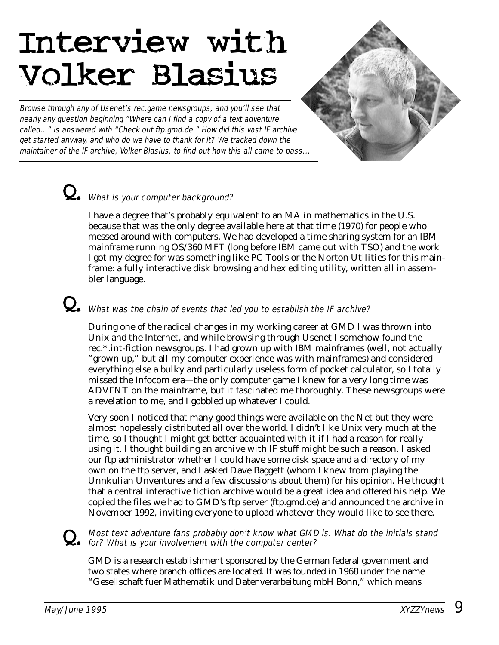# Interview with Volker Blasius

Browse through any of Usenet's rec.game newsgroups, and you'll see that nearly any question beginning "Where can I find a copy of a text adventure called..." is answered with "Check out ftp.gmd.de." How did this vast IF archive get started anyway, and who do we have to thank for it? We tracked down the maintainer of the IF archive, Volker Blasius, to find out how this all came to pass...



# Q. What is your computer background?

I have a degree that's probably equivalent to an MA in mathematics in the U.S. because that was the only degree available here at that time (1970) for people who messed around with computers. We had developed a time sharing system for an IBM mainframe running OS/360 MFT (long before IBM came out with TSO) and the work I got my degree for was something like PC Tools or the Norton Utilities for this mainframe: a fully interactive disk browsing and hex editing utility, written all in assembler language.

# Q. What was the chain of events that led you to establish the IF archive?

During one of the radical changes in my working career at GMD I was thrown into Unix and the Internet, and while browsing through Usenet I somehow found the rec.\*.int-fiction newsgroups. I had grown up with IBM mainframes (well, not actually "grown up," but all my computer experience was with mainframes) and considered everything else a bulky and particularly useless form of pocket calculator, so I totally missed the Infocom era—the only computer game I knew for a very long time was ADVENT on the mainframe, but it fascinated me thoroughly. These newsgroups were a revelation to me, and I gobbled up whatever I could.

Very soon I noticed that many good things were available on the Net but they were almost hopelessly distributed all over the world. I didn't like Unix very much at the time, so I thought I might get better acquainted with it if I had a reason for really using it. I thought building an archive with IF stuff might be such a reason. I asked our ftp administrator whether I could have some disk space and a directory of my own on the ftp server, and I asked Dave Baggett (whom I knew from playing the Unnkulian Unventures and a few discussions about them) for his opinion. He thought that a central interactive fiction archive would be a great idea and offered his help. We copied the files we had to GMD's ftp server (ftp.gmd.de) and announced the archive in November 1992, inviting everyone to upload whatever they would like to see there.

# Q. Most text adventure fans probably don't know what GMD is. What do the initials stand for? What is your involvement with the computer center?

GMD is a research establishment sponsored by the German federal government and two states where branch offices are located. It was founded in 1968 under the name "Gesellschaft fuer Mathematik und Datenverarbeitung mbH Bonn," which means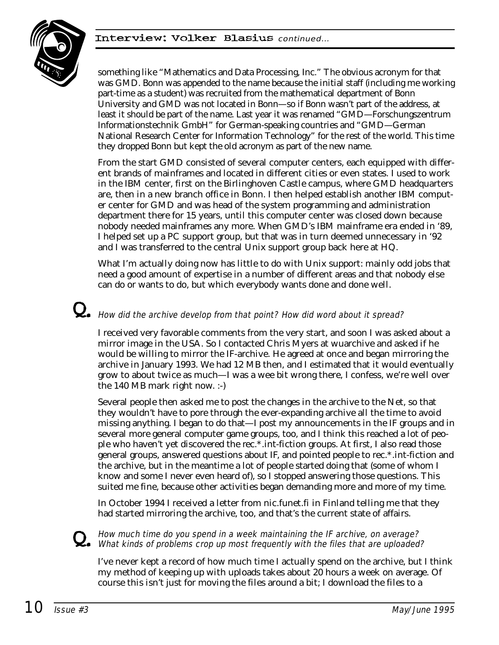

something like "Mathematics and Data Processing, Inc." The obvious acronym for that was GMD. Bonn was appended to the name because the initial staff (including me working part-time as a student) was recruited from the mathematical department of Bonn University and GMD was not located in Bonn—so if Bonn wasn't part of the address, at least it should be part of the name. Last year it was renamed "GMD—Forschungszentrum Informationstechnik GmbH" for German-speaking countries and "GMD—German National Research Center for Information Technology" for the rest of the world. This time they dropped Bonn but kept the old acronym as part of the new name.

From the start GMD consisted of several computer centers, each equipped with different brands of mainframes and located in different cities or even states. I used to work in the IBM center, first on the Birlinghoven Castle campus, where GMD headquarters are, then in a new branch office in Bonn. I then helped establish another IBM computer center for GMD and was head of the system programming and administration department there for 15 years, until this computer center was closed down because nobody needed mainframes any more. When GMD's IBM mainframe era ended in '89, I helped set up a PC support group, but that was in turn deemed unnecessary in '92 and I was transferred to the central Unix support group back here at HQ.

What I'm actually doing now has little to do with Unix support: mainly odd jobs that need a good amount of expertise in a number of different areas and that nobody else can do or wants to do, but which everybody wants done and done well.

## $\mathbf Q_{\bullet}\;$  How did the archive develop from that point? How did word about it spread?

I received very favorable comments from the very start, and soon I was asked about a mirror image in the USA. So I contacted Chris Myers at wuarchive and asked if he would be willing to mirror the IF-archive. He agreed at once and began mirroring the archive in January 1993. We had 12 MB then, and I estimated that it would eventually grow to about twice as much—I was a wee bit wrong there, I confess, we're well over the 140 MB mark right now. :-)

Several people then asked me to post the changes in the archive to the Net, so that they wouldn't have to pore through the ever-expanding archive all the time to avoid missing anything. I began to do that—I post my announcements in the IF groups and in several more general computer game groups, too, and I think this reached a lot of people who haven't yet discovered the rec.\*.int-fiction groups. At first, I also read those general groups, answered questions about IF, and pointed people to rec.\*.int-fiction and the archive, but in the meantime a lot of people started doing that (some of whom I know and some I never even heard of), so I stopped answering those questions. This suited me fine, because other activities began demanding more and more of my time.

In October 1994 I received a letter from nic.funet.fi in Finland telling me that they had started mirroring the archive, too, and that's the current state of affairs.

# Q. How much time do you spend in a week maintaining the IF archive, on average? What kinds of problems crop up most frequently with the files that are uploaded?

I've never kept a record of how much time I actually spend on the archive, but I think my method of keeping up with uploads takes about 20 hours a week on average. Of course this isn't just for moving the files around a bit; I download the files to a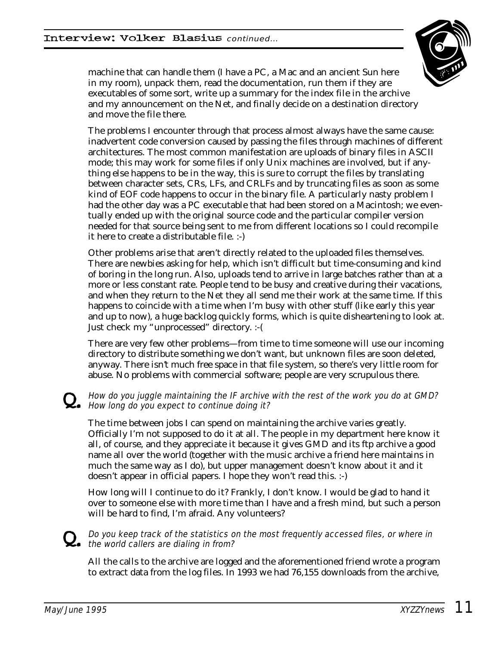

machine that can handle them (I have a PC, a Mac and an ancient Sun here in my room), unpack them, read the documentation, run them if they are executables of some sort, write up a summary for the index file in the archive and my announcement on the Net, and finally decide on a destination directory and move the file there.

The problems I encounter through that process almost always have the same cause: inadvertent code conversion caused by passing the files through machines of different architectures. The most common manifestation are uploads of binary files in ASCII mode; this may work for some files if only Unix machines are involved, but if anything else happens to be in the way, this is sure to corrupt the files by translating between character sets, CRs, LFs, and CRLFs and by truncating files as soon as some kind of EOF code happens to occur in the binary file. A particularly nasty problem I had the other day was a PC executable that had been stored on a Macintosh; we eventually ended up with the original source code and the particular compiler version needed for that source being sent to me from different locations so I could recompile it here to create a distributable file. :-)

Other problems arise that aren't directly related to the uploaded files themselves. There are newbies asking for help, which isn't difficult but time-consuming and kind of boring in the long run. Also, uploads tend to arrive in large batches rather than at a more or less constant rate. People tend to be busy and creative during their vacations, and when they return to the Net they all send me their work at the same time. If this happens to coincide with a time when I'm busy with other stuff (like early this year and up to now), a huge backlog quickly forms, which is quite disheartening to look at. Just check my "unprocessed" directory. :-(

There are very few other problems—from time to time someone will use our incoming directory to distribute something we don't want, but unknown files are soon deleted, anyway. There isn't much free space in that file system, so there's very little room for abuse. No problems with commercial software; people are very scrupulous there.

#### How do you juggle maintaining the IF archive with the rest of the work you do at GMD? How long do you expect to continue doing it?

The time between jobs I can spend on maintaining the archive varies greatly. Officially I'm not supposed to do it at all. The people in my department here know it all, of course, and they appreciate it because it gives GMD and its ftp archive a good name all over the world (together with the music archive a friend here maintains in much the same way as I do), but upper management doesn't know about it and it doesn't appear in official papers. I hope they won't read this. :-)

How long will I continue to do it? Frankly, I don't know. I would be glad to hand it over to someone else with more time than I have and a fresh mind, but such a person will be hard to find, I'm afraid. Any volunteers?

# $\mathbf Q_\bullet$  Do you keep track of the statistics on the most frequently accessed files, or where in the world callers are dialing in from?

All the calls to the archive are logged and the aforementioned friend wrote a program to extract data from the log files. In 1993 we had 76,155 downloads from the archive,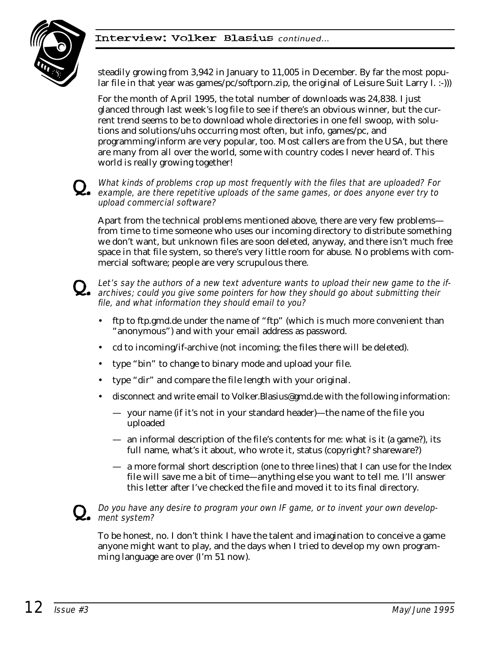#### Interview: Volker Blasius continued…



steadily growing from 3,942 in January to 11,005 in December. By far the most popular file in that year was games/pc/softporn.zip, the original of Leisure Suit Larry I. :-)))

For the month of April 1995, the total number of downloads was 24,838. I just glanced through last week's log file to see if there's an obvious winner, but the current trend seems to be to download whole directories in one fell swoop, with solutions and solutions/uhs occurring most often, but info, games/pc, and programming/inform are very popular, too. Most callers are from the USA, but there are many from all over the world, some with country codes I never heard of. This world is really growing together!

#### What kinds of problems crop up most frequently with the files that are uploaded? For<br>example, are there repetitive uploads of the same games, or does anyone ever try to upload commercial software?

Apart from the technical problems mentioned above, there are very few problems from time to time someone who uses our incoming directory to distribute something we don't want, but unknown files are soon deleted, anyway, and there isn't much free space in that file system, so there's very little room for abuse. No problems with commercial software; people are very scrupulous there.



#### Q. Let's say the authors of a new text adventure wants to upload their new game to the if-<br>archives; could you give some pointers for how they should go about submitting their file, and what information they should email to you?

- ftp to ftp.gmd.de under the name of "ftp" (which is much more convenient than "anonymous") and with your email address as password.
- cd to incoming/if-archive (not incoming; the files there will be deleted).
- type "bin" to change to binary mode and upload your file.
- type "dir" and compare the file length with your original.
- disconnect and write email to Volker.Blasius@gmd.de with the following information:
	- your name (if it's not in your standard header)—the name of the file you uploaded
	- an informal description of the file's contents for me: what is it (a game?), its full name, what's it about, who wrote it, status (copyright? shareware?)
	- a more formal short description (one to three lines) that I can use for the Index file will save me a bit of time—anything else you want to tell me. I'll answer this letter after I've checked the file and moved it to its final directory.



#### Do you have any desire to program your own IF game, or to invent your own develop- $Q_{\bullet}$  ment system?

To be honest, no. I don't think I have the talent and imagination to conceive a game anyone might want to play, and the days when I tried to develop my own programming language are over (I'm 51 now).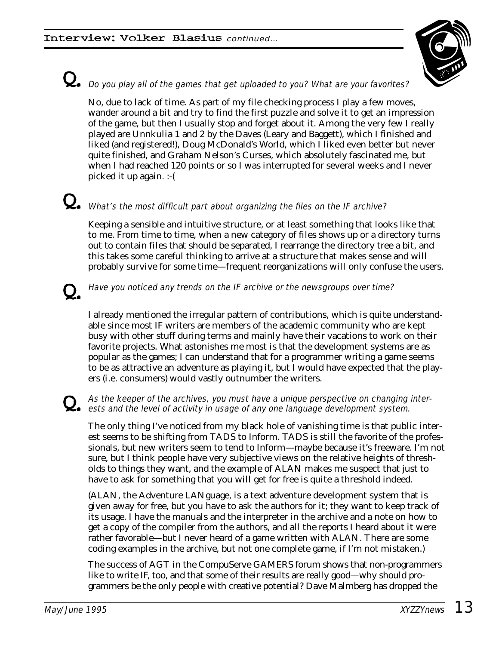

# $\mathbf Q_{\bullet}\,$  Do you play all of the games that get uploaded to you? What are your favorites?

No, due to lack of time. As part of my file checking process I play a few moves, wander around a bit and try to find the first puzzle and solve it to get an impression of the game, but then I usually stop and forget about it. Among the very few I really played are Unnkulia 1 and 2 by the Daves (Leary and Baggett), which I finished and liked (and registered!), Doug McDonald's World, which I liked even better but never quite finished, and Graham Nelson's Curses, which absolutely fascinated me, but when I had reached 120 points or so I was interrupted for several weeks and I never picked it up again. :-(

# What's the most difficult part about organizing the files on the IF archive?

Keeping a sensible and intuitive structure, or at least something that looks like that to me. From time to time, when a new category of files shows up or a directory turns out to contain files that should be separated, I rearrange the directory tree a bit, and this takes some careful thinking to arrive at a structure that makes sense and will probably survive for some time—frequent reorganizations will only confuse the users.

#### Q. Have you noticed any trends on the IF archive or the newsgroups over time?

I already mentioned the irregular pattern of contributions, which is quite understandable since most IF writers are members of the academic community who are kept busy with other stuff during terms and mainly have their vacations to work on their favorite projects. What astonishes me most is that the development systems are as popular as the games; I can understand that for a programmer writing a game seems to be as attractive an adventure as playing it, but I would have expected that the players (i.e. consumers) would vastly outnumber the writers.

# Q. As the keeper of the archives, you must have a unique perspective on changing inter-ests and the level of activity in usage of any one language development system.

The only thing I've noticed from my black hole of vanishing time is that public interest seems to be shifting from TADS to Inform. TADS is still the favorite of the professionals, but new writers seem to tend to Inform—maybe because it's freeware. I'm not sure, but I think people have very subjective views on the relative heights of thresholds to things they want, and the example of ALAN makes me suspect that just to have to ask for something that you will get for free is quite a threshold indeed.

(ALAN, the Adventure LANguage, is a text adventure development system that is given away for free, but you have to ask the authors for it; they want to keep track of its usage. I have the manuals and the interpreter in the archive and a note on how to get a copy of the compiler from the authors, and all the reports I heard about it were rather favorable—but I never heard of a game written with ALAN. There are some coding examples in the archive, but not one complete game, if I'm not mistaken.)

The success of AGT in the CompuServe GAMERS forum shows that non-programmers like to write IF, too, and that some of their results are really good—why should programmers be the only people with creative potential? Dave Malmberg has dropped the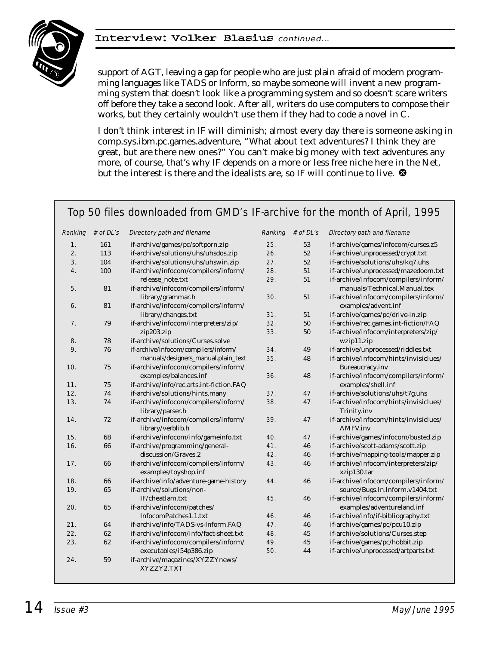#### Interview: Volker Blasius continued...



support of AGT, leaving a gap for people who are just plain afraid of modern programming languages like TADS or Inform, so maybe someone will invent a new programming system that doesn't look like a programming system and so doesn't scare writers off before they take a second look. After all, writers do use computers to compose their works, but they certainly wouldn't use them if they had to code a novel in C.

I don't think interest in IF will diminish; almost every day there is someone asking in comp.sys.ibm.pc.games.adventure, "What about text adventures? I think they are great, but are there new ones?" You can't make big money with text adventures any more, of course, that's why IF depends on a more or less free niche here in the Net, but the interest is there and the idealists are, so IF will continue to live.  $\bullet$ 

#### Top 50 files downloaded from GMD's IF-archive for the month of April, 1995

| Ranking | # of DL's  | Directory path and filename                                  | Ranking | # of DL's | Directory path and filename                          |
|---------|------------|--------------------------------------------------------------|---------|-----------|------------------------------------------------------|
| 1.      | 161        | if-archive/games/pc/softporn.zip                             | 25.     | 53        | if-archive/games/infocom/curses.z5                   |
| 2.      | 113        | if-archive/solutions/uhs/uhsdos.zip                          | 26.     | 52        | if-archive/unprocessed/crypt.txt                     |
| 3.      | 104        | if-archive/solutions/uhs/uhswin.zip                          | 27.     | $52\,$    | if-archive/solutions/uhs/kq7.uhs                     |
| 4.      | 100        | if-archive/infocom/compilers/inform/                         | 28.     | 51        | if-archive/unprocessed/mazedoom.txt                  |
|         |            | release_note.txt                                             | 29.     | 51        | if-archive/infocom/compilers/inform/                 |
| 5.      | 81         | if-archive/infocom/compilers/inform/                         |         |           | manuals/Technical.Manual.tex                         |
|         |            | library/grammar.h                                            | 30.     | 51        | if-archive/infocom/compilers/inform/                 |
| 6.      | 81         | if-archive/infocom/compilers/inform/                         |         |           | examples/advent.inf                                  |
|         |            | library/changes.txt                                          | 31.     | 51        | if-archive/games/pc/drive-in.zip                     |
| 7.      | 79         | if-archive/infocom/interpreters/zip/                         | 32.     | 50        | if-archive/rec.games.int-fiction/FAQ                 |
|         |            | zip203.zip                                                   | 33.     | 50        | if-archive/infocom/interpreters/zip/                 |
| 8.      | 78         | if-archive/solutions/Curses.solve                            |         |           | wzip11.zip                                           |
| 9.      | 76         | if-archive/infocom/compilers/inform/                         | 34.     | 49        | if-archive/unprocessed/riddles.txt                   |
|         |            | manuals/designers_manual.plain_text                          | 35.     | 48        | if-archive/infocom/hints/invisiclues/                |
| 10.     | 75         | if-archive/infocom/compilers/inform/                         |         |           | Bureaucracy.inv                                      |
|         |            | examples/balances.inf                                        | 36.     | 48        | if-archive/infocom/compilers/inform/                 |
| 11.     | 75         | if-archive/info/rec.arts.int-fiction.FAQ                     |         |           | examples/shell.inf                                   |
| 12.     | 74         | if-archive/solutions/hints.many                              | 37.     | 47        | if-archive/solutions/uhs/t7g.uhs                     |
| 13.     | 74         | if-archive/infocom/compilers/inform/<br>library/parser.h     | 38.     | $47\,$    | if-archive/infocom/hints/invisiclues/<br>Trinity.inv |
| 14.     | 72         | if-archive/infocom/compilers/inform/                         | 39.     | 47        | if-archive/infocom/hints/invisiclues/                |
|         |            | library/verblib.h                                            |         |           | AMFV.inv                                             |
| 15.     | 68         | if-archive/infocom/info/gameinfo.txt                         | 40.     | 47        | if-archive/games/infocom/busted.zip                  |
| 16.     | 66         | if-archive/programming/general-                              | 41.     | 46        | if-archive/scott-adams/scott.zip                     |
|         |            | discussion/Graves.2                                          | 42.     | 46        | if-archive/mapping-tools/mapper.zip                  |
| 17.     | 66         | if-archive/infocom/compilers/inform/<br>examples/toyshop.inf | 43.     | 46        | if-archive/infocom/interpreters/zip/<br>xzip130.tar  |
| 18.     | 66         | if-archive/info/adventure-game-history                       | 44.     | 46        | if-archive/infocom/compilers/inform/                 |
| 19.     | 65         | if-archive/solutions/non-                                    |         |           | source/Bugs.In.Inform.v1404.txt                      |
|         |            | IF/cheatlam.txt                                              | 45.     | 46        | if-archive/infocom/compilers/inform/                 |
| 20.     | 65         | if-archive/infocom/patches/                                  |         |           | examples/adventureland.inf                           |
|         |            | InfocomPatches1.1.txt                                        | 46.     | 46        | if-archive/info/if-bibliography.txt                  |
| 21.     | 64         | if-archive/info/TADS-vs-Inform.FAQ                           | 47.     | 46        | if-archive/games/pc/pcu10.zip                        |
| 22.     | 62         | if-archive/infocom/info/fact-sheet.txt                       | 48.     | 45        | if-archive/solutions/Curses.step                     |
| 23.     | 62         | if-archive/infocom/compilers/inform/                         | 49.     | 45        | if-archive/games/pc/hobbit.zip                       |
|         |            | executables/i54p386.zip                                      | 50.     | 44        | if-archive/unprocessed/artparts.txt                  |
| 24.     | ${\bf 59}$ | if-archive/magazines/XYZZYnews/<br>XYZZY2.TXT                |         |           |                                                      |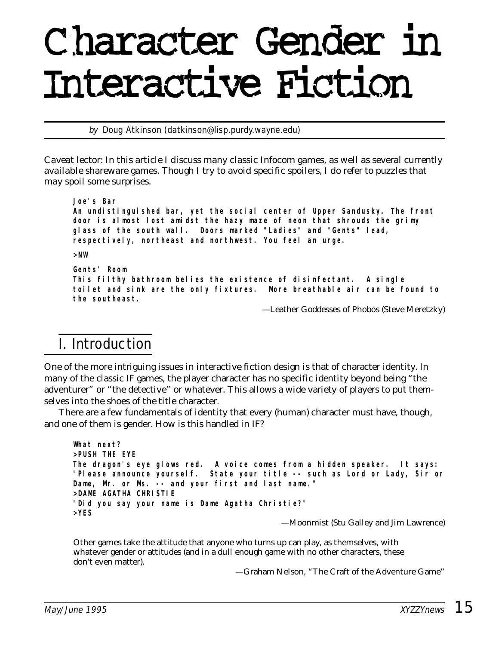# Character Gender in Interactive Fiction

by Doug Atkinson (datkinson@lisp.purdy.wayne.edu)

*Caveat lector: In this article I discuss many classic Infocom games, as well as several currently available shareware games. Though I try to avoid specific spoilers, I do refer to puzzles that may spoil some surprises.*

**Joe's Bar**

**An undistinguished bar, yet the social center of Upper Sandusky. The front door is almost lost amidst the hazy maze of neon that shrouds the grimy glass of the south wall. Doors marked "Ladies" and "Gents" lead, respectively, northeast and northwest. You feel an urge.**

**>NW**

**Gents' Room This filthy bathroom belies the existence of disinfectant. A single toilet and sink are the only fixtures. More breathable air can be found to the southeast.**

—Leather Goddesses of Phobos (Steve Meretzky)

#### I. Introduction

One of the more intriguing issues in interactive fiction design is that of character identity. In many of the classic IF games, the player character has no specific identity beyond being "the adventurer" or "the detective" or whatever. This allows a wide variety of players to put themselves into the shoes of the title character.

There are a few fundamentals of identity that every (human) character must have, though, and one of them is gender. How is this handled in IF?

```
What next?
>PUSH THE EYE
The dragon's eye glows red. A voice comes from a hidden speaker. It says:
"Please announce yourself. State your title -- such as Lord or Lady, Sir or
Dame, Mr. or Ms. -- and your first and last name."
>DAME AGATHA CHRISTIE
"Did you say your name is Dame Agatha Christie?"
>YES
                                           —Moonmist (Stu Galley and Jim Lawrence)
```
Other games take the attitude that anyone who turns up can play, as themselves, with whatever gender or attitudes (and in a dull enough game with no other characters, these don't even matter).

—Graham Nelson, "The Craft of the Adventure Game"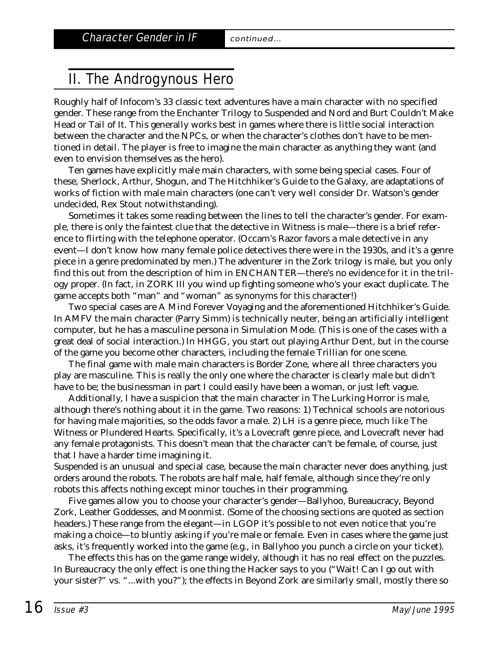# II. The Androgynous Hero

Roughly half of Infocom's 33 classic text adventures have a main character with no specified gender. These range from the Enchanter Trilogy to Suspended and Nord and Burt Couldn't Make Head or Tail of It. This generally works best in games where there is little social interaction between the character and the NPCs, or when the character's clothes don't have to be mentioned in detail. The player is free to imagine the main character as anything they want (and even to envision themselves as the hero).

Ten games have explicitly male main characters, with some being special cases. Four of these, Sherlock, Arthur, Shogun, and The Hitchhiker's Guide to the Galaxy, are adaptations of works of fiction with male main characters (one can't very well consider Dr. Watson's gender undecided, Rex Stout notwithstanding).

Sometimes it takes some reading between the lines to tell the character's gender. For example, there is only the faintest clue that the detective in Witness is male—there is a brief reference to flirting with the telephone operator. (Occam's Razor favors a male detective in any event—I don't know how many female police detectives there were in the 1930s, and it's a genre piece in a genre predominated by men.) The adventurer in the Zork trilogy is male, but you only find this out from the description of him in ENCHANTER—there's no evidence for it in the trilogy proper. (In fact, in ZORK III you wind up fighting someone who's your exact duplicate. The game accepts both "man" and "woman" as synonyms for this character!)

Two special cases are A Mind Forever Voyaging and the aforementioned Hitchhiker's Guide. In AMFV the main character (Parry Simm) is technically neuter, being an artificially intelligent computer, but he has a masculine persona in Simulation Mode. (This is one of the cases with a great deal of social interaction.) In HHGG, you start out playing Arthur Dent, but in the course of the game you become other characters, including the female Trillian for one scene.

The final game with male main characters is Border Zone, where all three characters you play are masculine. This is really the only one where the character is clearly male but didn't have to be; the businessman in part I could easily have been a woman, or just left vague.

Additionally, I have a suspicion that the main character in The Lurking Horror is male, although there's nothing about it in the game. Two reasons: 1) Technical schools are notorious for having male majorities, so the odds favor a male. 2) LH is a genre piece, much like The Witness or Plundered Hearts. Specifically, it's a Lovecraft genre piece, and Lovecraft never had any female protagonists. This doesn't mean that the character can't be female, of course, just that I have a harder time imagining it.

Suspended is an unusual and special case, because the main character never does anything, just orders around the robots. The robots are half male, half female, although since they're only robots this affects nothing except minor touches in their programming.

Five games allow you to choose your character's gender—Ballyhoo, Bureaucracy, Beyond Zork, Leather Goddesses, and Moonmist. (Some of the choosing sections are quoted as section headers.) These range from the elegant—in LGOP it's possible to not even notice that you're making a choice—to bluntly asking if you're male or female. Even in cases where the game just asks, it's frequently worked into the game (e.g., in Ballyhoo you punch a circle on your ticket).

The effects this has on the game range widely, although it has no real effect on the puzzles. In Bureaucracy the only effect is one thing the Hacker says to you ("Wait! Can I go out with your sister?" vs. "...with you?"); the effects in Beyond Zork are similarly small, mostly there so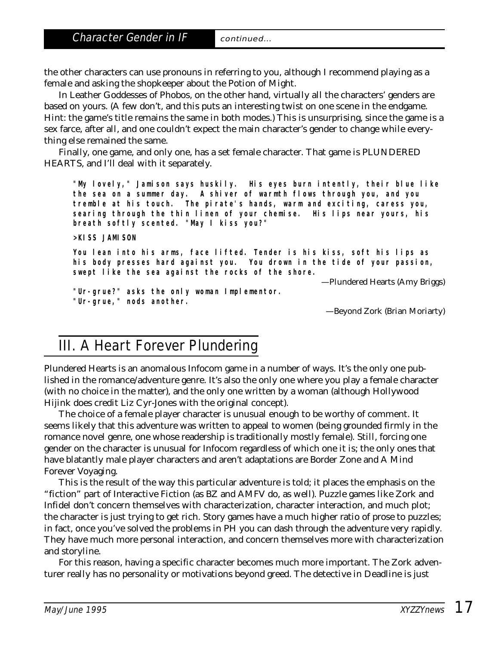the other characters can use pronouns in referring to you, although I recommend playing as a female and asking the shopkeeper about the Potion of Might.

In Leather Goddesses of Phobos, on the other hand, virtually all the characters' genders are based on yours. (A few don't, and this puts an interesting twist on one scene in the endgame. Hint: the game's title remains the same in both modes.) This is unsurprising, since the game is a sex farce, after all, and one couldn't expect the main character's gender to change while everything else remained the same.

Finally, one game, and only one, has a set female character. That game is PLUNDERED HEARTS, and I'll deal with it separately.

**"My lovely," Jamison says huskily. His eyes burn intently, their blue like the sea on a summer day. A shiver of warmth flows through you, and you tremble at his touch. The pirate's hands, warm and exciting, caress you, searing through the thin linen of your chemise. His lips near yours, his breath softly scented. "May I kiss you?"**

**>KISS JAMISON**

**You lean into his arms, face lifted. Tender is his kiss, soft his lips as his body presses hard against you. You drown in the tide of your passion, swept like the sea against the rocks of the shore.**

—Plundered Hearts (Amy Briggs)

**"Ur-grue?" asks the only woman Implementor. "Ur-grue," nods another.**

—Beyond Zork (Brian Moriarty)

# III. A Heart Forever Plundering

Plundered Hearts is an anomalous Infocom game in a number of ways. It's the only one published in the romance/adventure genre. It's also the only one where you play a female character (with no choice in the matter), and the only one written by a woman (although Hollywood Hijink does credit Liz Cyr-Jones with the original concept).

The choice of a female player character is unusual enough to be worthy of comment. It seems likely that this adventure was written to appeal to women (being grounded firmly in the romance novel genre, one whose readership is traditionally mostly female). Still, forcing one gender on the character is unusual for Infocom regardless of which one it is; the only ones that have blatantly male player characters and aren't adaptations are Border Zone and A Mind Forever Voyaging.

This is the result of the way this particular adventure is told; it places the emphasis on the "fiction" part of Interactive Fiction (as BZ and AMFV do, as well). Puzzle games like Zork and Infidel don't concern themselves with characterization, character interaction, and much plot; the character is just trying to get rich. Story games have a much higher ratio of prose to puzzles; in fact, once you've solved the problems in PH you can dash through the adventure very rapidly. They have much more personal interaction, and concern themselves more with characterization and storyline.

For this reason, having a specific character becomes much more important. The Zork adventurer really has no personality or motivations beyond greed. The detective in Deadline is just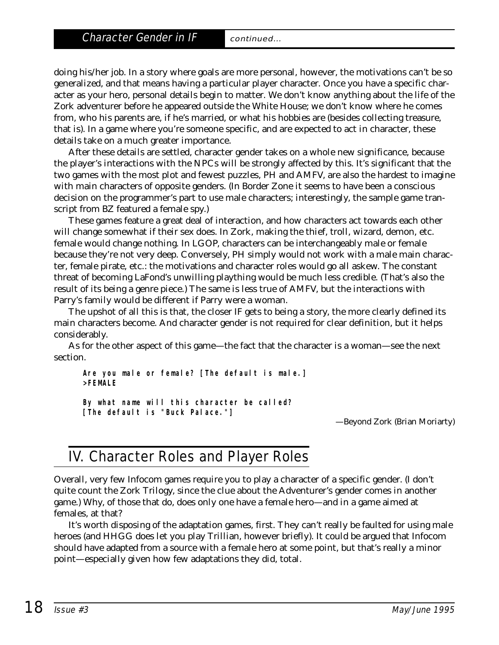doing his/her job. In a story where goals are more personal, however, the motivations can't be so generalized, and that means having a particular player character. Once you have a specific character as your hero, personal details begin to matter. We don't know anything about the life of the Zork adventurer before he appeared outside the White House; we don't know where he comes from, who his parents are, if he's married, or what his hobbies are (besides collecting treasure, that is). In a game where you're someone specific, and are expected to act in character, these details take on a much greater importance.

After these details are settled, character gender takes on a whole new significance, because the player's interactions with the NPCs will be strongly affected by this. It's significant that the two games with the most plot and fewest puzzles, PH and AMFV, are also the hardest to imagine with main characters of opposite genders. (In Border Zone it seems to have been a conscious decision on the programmer's part to use male characters; interestingly, the sample game transcript from BZ featured a female spy.)

These games feature a great deal of interaction, and how characters act towards each other will change somewhat if their sex does. In Zork, making the thief, troll, wizard, demon, etc. female would change nothing. In LGOP, characters can be interchangeably male or female because they're not very deep. Conversely, PH simply would not work with a male main character, female pirate, etc.: the motivations and character roles would go all askew. The constant threat of becoming LaFond's unwilling plaything would be much less credible. (That's also the result of its being a genre piece.) The same is less true of AMFV, but the interactions with Parry's family would be different if Parry were a woman.

The upshot of all this is that, the closer IF gets to being a story, the more clearly defined its main characters become. And character gender is not required for clear definition, but it helps considerably.

As for the other aspect of this game—the fact that the character is a woman—see the next section.

**Are you male or female? [The default is male.] >FEMALE**

**By what name will this character be called? [The default is "Buck Palace."]**

—Beyond Zork (Brian Moriarty)

#### IV. Character Roles and Player Roles

Overall, very few Infocom games require you to play a character of a specific gender. (I don't quite count the Zork Trilogy, since the clue about the Adventurer's gender comes in another game.) Why, of those that do, does only one have a female hero—and in a game aimed at females, at that?

It's worth disposing of the adaptation games, first. They can't really be faulted for using male heroes (and HHGG does let you play Trillian, however briefly). It could be argued that Infocom should have adapted from a source with a female hero at some point, but that's really a minor point—especially given how few adaptations they did, total.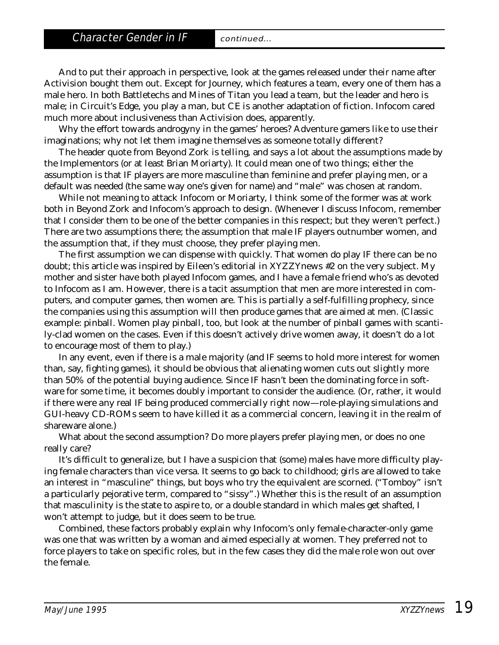And to put their approach in perspective, look at the games released under their name after Activision bought them out. Except for Journey, which features a team, every one of them has a male hero. In both Battletechs and Mines of Titan you lead a team, but the leader and hero is male; in Circuit's Edge, you play a man, but CE is another adaptation of fiction. Infocom cared much more about inclusiveness than Activision does, apparently.

Why the effort towards androgyny in the games' heroes? Adventure gamers like to use their imaginations; why not let them imagine themselves as someone totally different?

The header quote from Beyond Zork is telling, and says a lot about the assumptions made by the Implementors (or at least Brian Moriarty). It could mean one of two things; either the assumption is that IF players are more masculine than feminine and prefer playing men, or a default was needed (the same way one's given for name) and "male" was chosen at random.

While not meaning to attack Infocom or Moriarty, I think some of the former was at work both in Beyond Zork and Infocom's approach to design. (Whenever I discuss Infocom, remember that I consider them to be one of the better companies in this respect; but they weren't perfect.) There are two assumptions there; the assumption that male IF players outnumber women, and the assumption that, if they must choose, they prefer playing men.

The first assumption we can dispense with quickly. That women do play IF there can be no doubt; this article was inspired by Eileen's editorial in *XYZZYnews* #2 on the very subject. My mother and sister have both played Infocom games, and I have a female friend who's as devoted to Infocom as I am. However, there is a tacit assumption that men are more interested in computers, and computer games, then women are. This is partially a self-fulfilling prophecy, since the companies using this assumption will then produce games that are aimed at men. (Classic example: pinball. Women play pinball, too, but look at the number of pinball games with scantily-clad women on the cases. Even if this doesn't actively drive women away, it doesn't do a lot to encourage most of them to play.)

In any event, even if there is a male majority (and IF seems to hold more interest for women than, say, fighting games), it should be obvious that alienating women cuts out slightly more than 50% of the potential buying audience. Since IF hasn't been the dominating force in software for some time, it becomes doubly important to consider the audience. (Or, rather, it would if there were *any* real IF being produced commercially right now—role-playing simulations and GUI-heavy CD-ROMs seem to have killed it as a commercial concern, leaving it in the realm of shareware alone.)

What about the second assumption? Do more players prefer playing men, or does no one really care?

It's difficult to generalize, but I have a suspicion that (some) males have more difficulty playing female characters than vice versa. It seems to go back to childhood; girls are allowed to take an interest in "masculine" things, but boys who try the equivalent are scorned. ("Tomboy" isn't a particularly pejorative term, compared to "sissy".) Whether this is the result of an assumption that masculinity is the state to aspire to, or a double standard in which males get shafted, I won't attempt to judge, but it does seem to be true.

Combined, these factors probably explain why Infocom's only female-character-only game was one that was written by a woman and aimed especially at women. They preferred not to force players to take on specific roles, but in the few cases they did the male role won out over the female.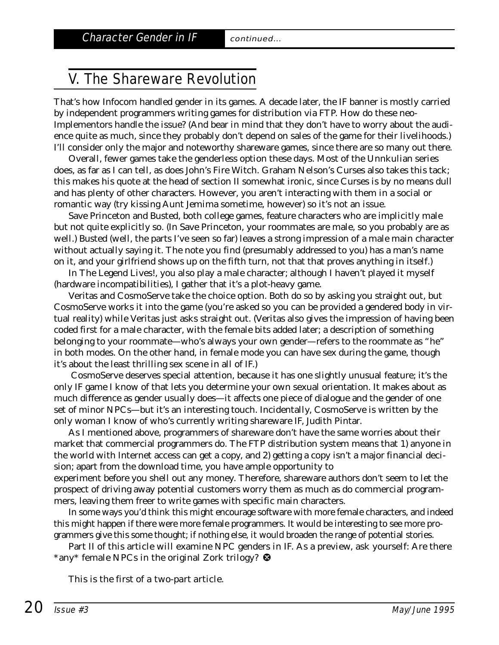#### V. The Shareware Revolution

That's how Infocom handled gender in its games. A decade later, the IF banner is mostly carried by independent programmers writing games for distribution via FTP. How do these neo-Implementors handle the issue? (And bear in mind that they don't have to worry about the audience quite as much, since they probably don't depend on sales of the game for their livelihoods.) I'll consider only the major and noteworthy shareware games, since there are so many out there.

Overall, fewer games take the genderless option these days. Most of the Unnkulian series does, as far as I can tell, as does John's Fire Witch. Graham Nelson's Curses also takes this tack; this makes his quote at the head of section II somewhat ironic, since Curses is by no means dull and has plenty of other characters. However, you aren't interacting with them in a social or romantic way (try kissing Aunt Jemima sometime, however) so it's not an issue.

Save Princeton and Busted, both college games, feature characters who are implicitly male but not quite explicitly so. (In Save Princeton, your roommates are male, so you probably are as well.) Busted (well, the parts I've seen so far) leaves a strong impression of a male main character without actually saying it. The note you find (presumably addressed to you) has a man's name on it, and your girlfriend shows up on the fifth turn, not that that proves anything in itself.)

In The Legend Lives!, you also play a male character; although I haven't played it myself (hardware incompatibilities), I gather that it's a plot-heavy game.

Veritas and CosmoServe take the choice option. Both do so by asking you straight out, but CosmoServe works it into the game (you're asked so you can be provided a gendered body in virtual reality) while Veritas just asks straight out. (Veritas also gives the impression of having been coded first for a male character, with the female bits added later; a description of something belonging to your roommate—who's always your own gender—refers to the roommate as "he" in both modes. On the other hand, in female mode you can have sex during the game, though it's about the least thrilling sex scene in all of IF.)

CosmoServe deserves special attention, because it has one slightly unusual feature; it's the only IF game I know of that lets you determine your own sexual orientation. It makes about as much difference as gender usually does—it affects one piece of dialogue and the gender of one set of minor NPCs—but it's an interesting touch. Incidentally, CosmoServe is written by the only woman I know of who's currently writing shareware IF, Judith Pintar.

As I mentioned above, programmers of shareware don't have the same worries about their market that commercial programmers do. The FTP distribution system means that 1) anyone in the world with Internet access can get a copy, and 2) getting a copy isn't a major financial decision; apart from the download time, you have ample opportunity to

experiment before you shell out any money. Therefore, shareware authors don't seem to let the prospect of driving away potential customers worry them as much as do commercial programmers, leaving them freer to write games with specific main characters.

In some ways you'd think this might encourage software with more female characters, and indeed this might happen if there were more female programmers. It would be interesting to see more programmers give this some thought; if nothing else, it would broaden the range of potential stories.

Part II of this article will examine NPC genders in IF. As a preview, ask yourself: Are there \*any\* female NPCs in the original Zork trilogy?

*This is the first of a two-part article.*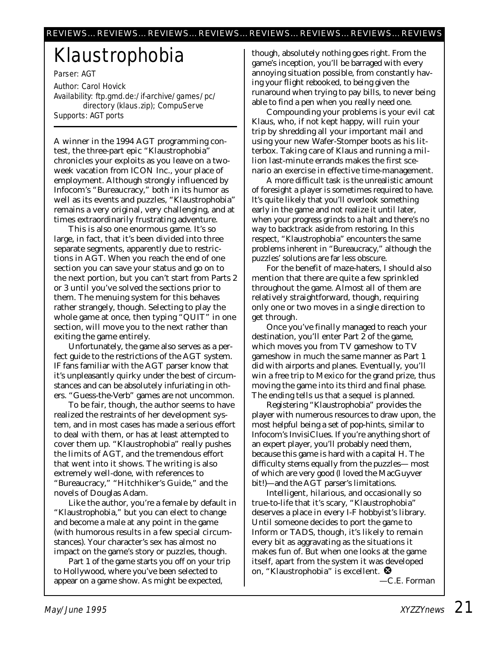# Klaustrophobia

Parser: AGT Author: Carol Hovick Availability: ftp.gmd.de:/if-archive/games/pc/ directory (klaus.zip); CompuServe Supports: AGT ports

A winner in the 1994 AGT programming contest, the three-part epic "Klaustrophobia" chronicles your exploits as you leave on a twoweek vacation from ICON Inc., your place of employment. Although strongly influenced by Infocom's "Bureaucracy," both in its humor as well as its events and puzzles, "Klaustrophobia" remains a very original, very challenging, and at times extraordinarily frustrating adventure.

This is also one enormous game. It's so large, in fact, that it's been divided into three separate segments, apparently due to restrictions in AGT. When you reach the end of one section you can save your status and go on to the next portion, but you can't start from Parts 2 or 3 until you've solved the sections prior to them. The menuing system for this behaves rather strangely, though. Selecting to play the whole game at once, then typing "QUIT" in one section, will move you to the next rather than exiting the game entirely.

Unfortunately, the game also serves as a perfect guide to the restrictions of the AGT system. IF fans familiar with the AGT parser know that it's unpleasantly quirky under the best of circumstances and can be absolutely infuriating in others. "Guess-the-Verb" games are not uncommon.

To be fair, though, the author seems to have realized the restraints of her development system, and in most cases has made a serious effort to deal with them, or has at least attempted to cover them up. "Klaustrophobia" really pushes the limits of AGT, and the tremendous effort that went into it shows. The writing is also extremely well-done, with references to "Bureaucracy," "Hitchhiker's Guide," and the novels of Douglas Adam.

Like the author, you're a female by default in "Klaustrophobia," but you can elect to change and become a male at any point in the game (with humorous results in a few special circumstances). Your character's sex has almost no impact on the game's story or puzzles, though.

Part 1 of the game starts you off on your trip to Hollywood, where you've been selected to appear on a game show. As might be expected,

though, absolutely nothing goes right. From the game's inception, you'll be barraged with every annoying situation possible, from constantly having your flight rebooked, to being given the runaround when trying to pay bills, to never being able to find a pen when you really need one.

Compounding your problems is your evil cat Klaus, who, if not kept happy, will ruin your trip by shredding all your important mail and using your new Wafer-Stomper boots as his litterbox. Taking care of Klaus and running a million last-minute errands makes the first scenario an exercise in effective time-management.

A more difficult task is the unrealistic amount of foresight a player is sometimes required to have. It's quite likely that you'll overlook something early in the game and not realize it until later, when your progress grinds to a halt and there's no way to backtrack aside from restoring. In this respect, "Klaustrophobia" encounters the same problems inherent in "Bureaucracy," although the puzzles' solutions are far less obscure.

For the benefit of maze-haters, I should also mention that there are quite a few sprinkled throughout the game. Almost all of them are relatively straightforward, though, requiring only one or two moves in a single direction to get through.

Once you've *finally* managed to reach your destination, you'll enter Part 2 of the game, which moves you from TV gameshow to TV gameshow in much the same manner as Part 1 did with airports and planes. Eventually, you'll win a free trip to Mexico for the grand prize, thus moving the game into its third and final phase. The ending tells us that a sequel is planned.

Registering "Klaustrophobia" provides the player with numerous resources to draw upon, the most helpful being a set of pop-hints, similar to Infocom's InvisiClues. If you're anything short of an expert player, you'll probably need them, because this game is hard with a capital H. The difficulty stems equally from the puzzles— most of which are very good (I loved the MacGuyver bit!)—and the AGT parser's limitations.

Intelligent, hilarious, and occasionally so true-to-life that it's scary, "Klaustrophobia" deserves a place in every I-F hobbyist's library. Until someone decides to port the game to Inform or TADS, though, it's likely to remain every bit as aggravating as the situations it makes fun of. But when one looks at the game itself, apart from the system it was developed on, "Klaustrophobia" is excellent.

*—C.E. Forman*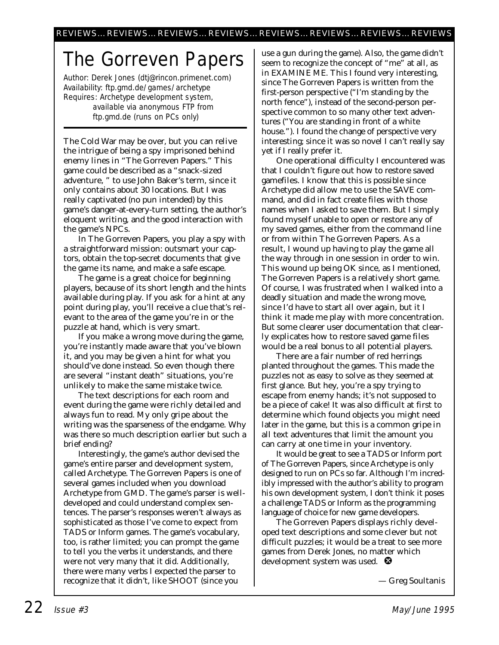# The Gorreven Papers

Author: Derek Jones (dtj@rincon.primenet.com) Availability: ftp.gmd.de/games/archetype Requires: Archetype development system, available via anonymous FTP from ftp.gmd.de (runs on PCs only)

The Cold War may be over, but you can relive the intrigue of being a spy imprisoned behind enemy lines in "The Gorreven Papers." This game could be described as a "snack-sized adventure, " to use John Baker's term, since it only contains about 30 locations. But I was really captivated (no pun intended) by this game's danger-at-every-turn setting, the author's eloquent writing, and the good interaction with the game's NPCs.

In The Gorreven Papers, you play a spy with a straightforward mission: outsmart your captors, obtain the top-secret documents that give the game its name, and make a safe escape.

The game is a great choice for beginning players, because of its short length and the hints available during play. If you ask for a hint at any point during play, you'll receive a clue that's relevant to the area of the game you're in or the puzzle at hand, which is very smart.

If you make a wrong move during the game, you're instantly made aware that you've blown it, and you may be given a hint for what you should've done instead. So even though there are several "instant death" situations, you're unlikely to make the same mistake twice.

The text descriptions for each room and event during the game were richly detailed and always fun to read. My only gripe about the writing was the sparseness of the endgame. Why was there so much description earlier but such a brief ending?

Interestingly, the game's author devised the game's entire parser and development system, called Archetype. The Gorreven Papers is one of several games included when you download Archetype from GMD. The game's parser is welldeveloped and could understand complex sentences. The parser's responses weren't always as sophisticated as those I've come to expect from TADS or Inform games. The game's vocabulary, too, is rather limited; you can prompt the game to tell you the verbs it understands, and there were not very many that it did. Additionally, there were many verbs I expected the parser to recognize that it didn't, like SHOOT (since you

use a gun during the game). Also, the game didn't seem to recognize the concept of "me" at all, as in EXAMINE ME. This I found very interesting, since The Gorreven Papers is written from the first-person perspective ("I'm standing by the north fence"), instead of the second-person perspective common to so many other text adventures ("You are standing in front of a white house."). I found the change of perspective very interesting; since it was so novel I can't really say yet if I really prefer it.

One operational difficulty I encountered was that I couldn't figure out how to restore saved gamefiles. I know that this *is* possible since Archetype did allow me to use the SAVE command, and did in fact create files with those names when I asked to save them. But I simply found myself unable to open or restore any of my saved games, either from the command line or from within The Gorreven Papers. As a result, I wound up having to play the game all the way through in one session in order to win. This wound up being OK since, as I mentioned, The Gorreven Papers is a relatively short game. Of course, I was frustrated when I walked into a deadly situation and made the wrong move, since I'd have to start all over again, but it I think it made me play with more concentration. But some clearer user documentation that clearly explicates how to restore saved game files would be a real bonus to all potential players.

There are a fair number of red herrings planted throughout the games. This made the puzzles not as easy to solve as they seemed at first glance. But hey, you're a spy trying to escape from enemy hands; it's not supposed to be a piece of cake! It was also difficult at first to determine which found objects you might need later in the game, but this is a common gripe in all text adventures that limit the amount you can carry at one time in your inventory.

It would be great to see a TADS or Inform port of The Gorreven Papers, since Archetype is only designed to run on PCs so far. Although I'm incredibly impressed with the author's ability to program his own development system, I don't think it poses a challenge TADS or Inform as the programming language of choice for new game developers.

The Gorreven Papers displays richly developed text descriptions and some clever but not difficult puzzles; it would be a treat to see more games from Derek Jones, no matter which development system was used.  $\bullet$ 

*— Greg Soultanis*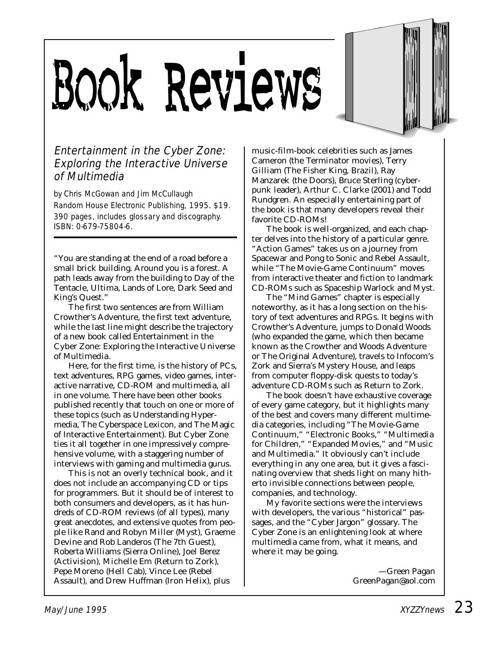# Book Reviews



#### Entertainment in the Cyber Zone: Exploring the Interactive Universe of Multimedia

by Chris McGowan and Jim McCullaugh Random House Electronic Publishing, 1995. \$19. 390 pages, includes glossary and discography. ISBN: 0-679-75804-6.

"You are standing at the end of a road before a small brick building. Around you is a forest. A path leads away from the building to Day of the Tentacle, Ultima, Lands of Lore, Dark Seed and King's Quest."

The first two sentences are from William Crowther's Adventure, the first text adventure, while the last line might describe the trajectory of a new book called *Entertainment in the Cyber Zone: Exploring the Interactive Universe of Multimedia.*

Here, for the first time, is the history of PCs, text adventures, RPG games, video games, interactive narrative, CD-ROM and multimedia, all in one volume. There have been other books published recently that touch on one or more of these topics (such as Understanding Hypermedia, The Cyberspace Lexicon, and The Magic of Interactive Entertainment). But Cyber Zone ties it all together in one impressively comprehensive volume, with a staggering number of interviews with gaming and multimedia gurus.

This is not an overly technical book, and it does not include an accompanying CD or tips for programmers. But it should be of interest to both consumers and developers, as it has hundreds of CD-ROM reviews (of all types), many great anecdotes, and extensive quotes from people like Rand and Robyn Miller (Myst), Graeme Devine and Rob Landeros (The 7th Guest), Roberta Williams (Sierra Online), Joel Berez (Activision), Michelle Em (Return to Zork), Pepe Moreno (Hell Cab), Vince Lee (Rebel Assault), and Drew Huffman (Iron Helix), plus

music-film-book celebrities such as James Cameron (the *Terminator* movies), Terry Gilliam (*The Fisher King, Brazil*), Ray Manzarek (the Doors), Bruce Sterling (cyberpunk leader), Arthur C. Clarke (*2001*) and Todd Rundgren. An especially entertaining part of the book is that many developers reveal their favorite CD-ROMs!

The book is well-organized, and each chapter delves into the history of a particular genre. "Action Games" takes us on a journey from Spacewar and Pong to Sonic and Rebel Assault, while "The Movie-Game Continuum" moves from interactive theater and fiction to landmark CD-ROMs such as Spaceship Warlock and Myst.

The "Mind Games" chapter is especially noteworthy, as it has a long section on the history of text adventures and RPGs. It begins with Crowther's Adventure, jumps to Donald Woods (who expanded the game, which then became known as the Crowther and Woods Adventure or The Original Adventure), travels to Infocom's Zork and Sierra's Mystery House, and leaps from computer floppy-disk quests to today's adventure CD-ROMs such as Return to Zork.

The book doesn't have exhaustive coverage of every game category, but it highlights many of the best and covers many different multimedia categories, including "The Movie-Game Continuum," "Electronic Books," "Multimedia for Children," "Expanded Movies," and "Music and Multimedia." It obviously can't include everything in any one area, but it gives a fascinating overview that sheds light on many hitherto invisible connections between people, companies, and technology.

My favorite sections were the interviews with developers, the various "historical" passages, and the "Cyber Jargon" glossary. The Cyber Zone is an enlightening look at where multimedia came from, what it means, and where it may be going.

> *—Green Pagan GreenPagan@aol.com*